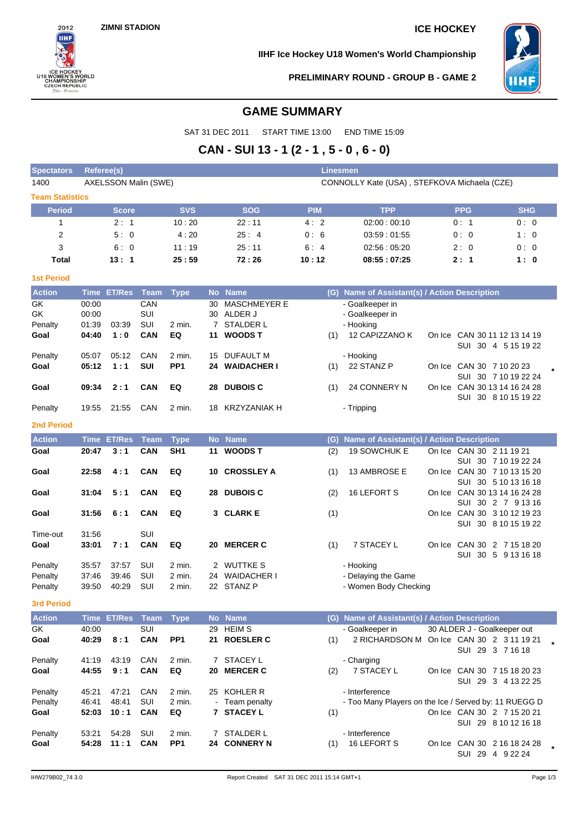**ZIMNI STADION ICE HOCKEY**



**IIHF Ice Hockey U18 Women's World Championship**



**PRELIMINARY ROUND - GROUP B - GAME 2**

# **GAME SUMMARY**

SAT 31 DEC 2011 START TIME 13:00 END TIME 15:09

# **CAN - SUI 13 - 1 (2 - 1 , 5 - 0 , 6 - 0)**

| <b>Spectators</b>      | Referee(s) |                      |                    |                                |              |                     | <b>Linesmen</b> |                                                       |        |                              |                      |  |
|------------------------|------------|----------------------|--------------------|--------------------------------|--------------|---------------------|-----------------|-------------------------------------------------------|--------|------------------------------|----------------------|--|
| 1400                   |            | AXELSSON Malin (SWE) |                    |                                |              |                     |                 | CONNOLLY Kate (USA), STEFKOVA Michaela (CZE)          |        |                              |                      |  |
| <b>Team Statistics</b> |            |                      |                    |                                |              |                     |                 |                                                       |        |                              |                      |  |
| <b>Period</b>          |            | <b>Score</b>         |                    | <b>SVS</b>                     |              | <b>SOG</b>          | <b>PIM</b>      | <b>TPP</b>                                            |        | <b>PPG</b>                   | <b>SHG</b>           |  |
| 1                      |            | 2:1                  |                    | 10:20                          |              | 22:11               | 4:2             | 02:00:00:10                                           |        | 0:1                          | 0:0                  |  |
| 2                      |            | 5:0                  |                    | 4:20                           |              | 25:4                | 0:6             | 03:59:01:55                                           |        | 0:0                          | 1:0                  |  |
| 3                      |            | 6:0                  |                    | 11:19                          |              | 25:11               | 6:4             | 02:56:05:20                                           |        | 2: 0                         | 0:0                  |  |
| <b>Total</b>           |            | 13:1                 |                    | 25:59                          |              | 72:26               | 10:12           | 08:55:07:25                                           |        | 2:1                          | 1:0                  |  |
| <b>1st Period</b>      |            |                      |                    |                                |              |                     |                 |                                                       |        |                              |                      |  |
| <b>Action</b>          |            | <b>Time ET/Res</b>   | <b>Team</b>        | <b>Type</b>                    | No l         | <b>Name</b>         |                 | (G) Name of Assistant(s) / Action Description         |        |                              |                      |  |
| GK                     | 00:00      |                      | CAN                |                                | 30           | <b>MASCHMEYER E</b> |                 | - Goalkeeper in                                       |        |                              |                      |  |
| GK                     | 00:00      |                      | SUI                |                                |              | 30 ALDER J          |                 | - Goalkeeper in                                       |        |                              |                      |  |
| Penalty                | 01:39      | 03:39                | SUI                | 2 min.                         | $\mathbf{7}$ | <b>STALDER L</b>    |                 | - Hooking                                             |        |                              |                      |  |
| Goal                   | 04:40      | 1:0                  | <b>CAN</b>         | EQ                             | 11           | <b>WOODST</b>       | (1)             | 12 CAPIZZANO K                                        |        | On Ice CAN 30 11 12 13 14 19 | SUI 30 4 5 15 19 22  |  |
| Penalty                | 05:07      | 05:12                | CAN                | 2 min.                         | 15           | <b>DUFAULT M</b>    |                 | - Hooking                                             |        |                              |                      |  |
| Goal                   | 05:12      | 1:1                  | <b>SUI</b>         | PP <sub>1</sub>                | 24           | <b>WAIDACHER I</b>  | (1)             | 22 STANZ P                                            |        | On Ice CAN 30 7 10 20 23     |                      |  |
|                        |            |                      |                    |                                |              |                     |                 |                                                       |        |                              | SUI 30 7 10 19 22 24 |  |
| Goal                   | 09:34      | 2:1                  | <b>CAN</b>         | EQ                             |              | 28 DUBOIS C         | (1)             | 24 CONNERY N                                          |        | On Ice CAN 30 13 14 16 24 28 | SUI 30 8 10 15 19 22 |  |
| Penalty                | 19:55      | 21:55                | CAN                | 2 min.                         |              | 18 KRZYZANIAK H     |                 | - Tripping                                            |        |                              |                      |  |
| 2nd Period             |            |                      |                    |                                |              |                     |                 |                                                       |        |                              |                      |  |
|                        |            |                      |                    |                                |              |                     |                 |                                                       |        |                              |                      |  |
| <b>Action</b>          |            | <b>Time ET/Res</b>   | <b>Team</b><br>CAN | <b>Type</b><br>SH <sub>1</sub> |              | No Name             | (G)             | Name of Assistant(s) / Action Description             |        |                              |                      |  |
| Goal                   | 20:47      | 3:1                  |                    |                                |              | 11 WOODS T          | (2)             | <b>19 SOWCHUK E</b>                                   |        | On Ice CAN 30 2 11 19 21     | SUI 30 7 10 19 22 24 |  |
| Goal                   | 22:58      | 4:1                  | <b>CAN</b>         | EQ                             | 10           | <b>CROSSLEY A</b>   | (1)             | 13 AMBROSE E                                          |        | On Ice CAN 30 7 10 13 15 20  |                      |  |
|                        |            |                      |                    |                                |              |                     |                 |                                                       |        |                              | SUI 30 5 10 13 16 18 |  |
| Goal                   | 31:04      | 5:1                  | <b>CAN</b>         | EQ                             |              | 28 DUBOIS C         | (2)             | 16 LEFORT S                                           |        | On Ice CAN 30 13 14 16 24 28 |                      |  |
| Goal                   | 31:56      | 6:1                  | <b>CAN</b>         | EQ                             |              | 3 CLARK E           | (1)             |                                                       |        | On Ice CAN 30 3 10 12 19 23  | SUI 30 2 7 9 13 16   |  |
|                        |            |                      |                    |                                |              |                     |                 |                                                       |        |                              | SUI 30 8 10 15 19 22 |  |
| Time-out               | 31:56      |                      | SUI                |                                |              |                     |                 |                                                       |        |                              |                      |  |
| Goal                   | 33:01      | 7:1                  | CAN                | EQ                             | 20           | <b>MERCER C</b>     | (1)             | 7 STACEY L                                            | On Ice | CAN 30 2 7 15 18 20          |                      |  |
| Penalty                | 35:57      | 37:57                | SUI                | 2 min.                         |              | 2 WUTTKE S          |                 | - Hooking                                             |        | SUI                          | 30 5 9 13 16 18      |  |
| Penalty                | 37:46      | 39:46                | SUI                | 2 min.                         | 24           | <b>WAIDACHER I</b>  |                 | - Delaying the Game                                   |        |                              |                      |  |
| Penalty                | 39:50      | 40:29                | SUI                | 2 min.                         |              | 22 STANZ P          |                 | - Women Body Checking                                 |        |                              |                      |  |
| <b>3rd Period</b>      |            |                      |                    |                                |              |                     |                 |                                                       |        |                              |                      |  |
| <b>Action</b>          |            | Time ET/Res          | Team               | <b>Type</b>                    |              | No Name             |                 | (G) Name of Assistant(s) / Action Description         |        |                              |                      |  |
| <b>GK</b>              | 40:00      |                      | SUI                |                                |              | 29 HEIM S           |                 | - Goalkeeper in                                       |        | 30 ALDER J - Goalkeeper out  |                      |  |
| Goal                   | 40:29      | 8:1                  | CAN                | PP <sub>1</sub>                |              | 21 ROESLER C        | (1)             | 2 RICHARDSON M On Ice CAN 30 2 3 11 19 21             |        |                              |                      |  |
|                        |            |                      |                    |                                |              |                     |                 |                                                       |        | SUI 29 3 7 16 18             |                      |  |
| Penalty                | 41:19      | 43:19                | CAN                | 2 min.                         |              | 7 STACEY L          |                 | - Charging                                            |        |                              |                      |  |
| Goal                   | 44:55      | 9:1                  | <b>CAN</b>         | EQ                             |              | 20 MERCER C         | (2)             | 7 STACEY L                                            |        | On Ice CAN 30 7 15 18 20 23  |                      |  |
| Penalty                | 45:21      | 47:21                | CAN                | 2 min.                         |              | 25 KOHLER R         |                 | - Interference                                        |        |                              | SUI 29 3 4 13 22 25  |  |
| Penalty                | 46:41      | 48:41                | SUI                | 2 min.                         |              | - Team penalty      |                 | - Too Many Players on the Ice / Served by: 11 RUEGG D |        |                              |                      |  |
| Goal                   | 52:03      | 10:1                 | <b>CAN</b>         | EQ                             |              | 7 STACEY L          | (1)             |                                                       |        | On Ice CAN 30 2 7 15 20 21   |                      |  |
|                        |            |                      |                    |                                |              |                     |                 |                                                       |        |                              | SUI 29 8 10 12 16 18 |  |
| Penalty                | 53:21      | 54:28                | SUI                | 2 min.                         |              | 7 STALDER L         |                 | - Interference                                        |        |                              |                      |  |
| Goal                   | 54:28      | 11:1                 | <b>CAN</b>         | PP <sub>1</sub>                |              | 24 CONNERY N        | (1)             | 16 LEFORT S                                           |        | On Ice CAN 30 2 16 18 24 28  |                      |  |

SUI 29 4 9 22 24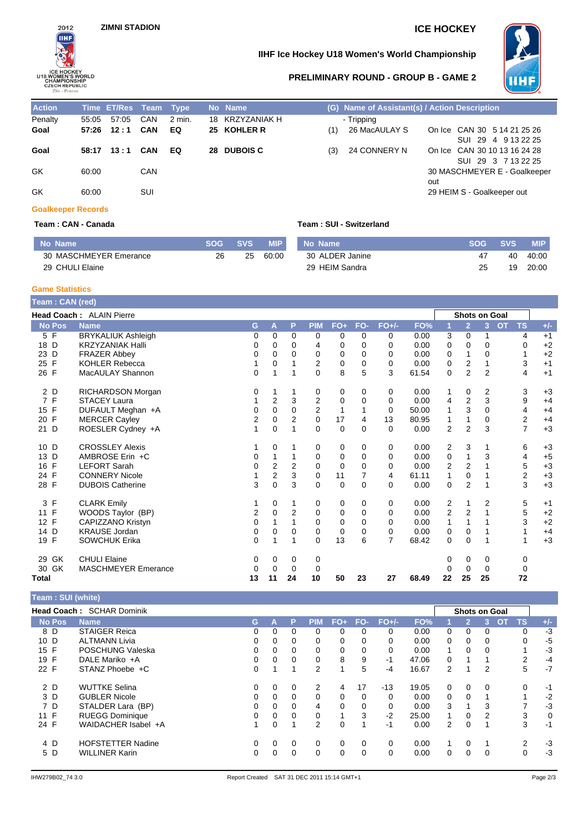

# **IIHF Ice Hockey U18 Women's World Championship**



### **PRELIMINARY ROUND - GROUP B - GAME 2**

| <b>Action</b> |       | Time ET/Res Team Type, |     |        |     | No Name         |     | (G) Name of Assistant(s) / Action Description |     |                              |
|---------------|-------|------------------------|-----|--------|-----|-----------------|-----|-----------------------------------------------|-----|------------------------------|
| Penalty       | 55:05 | 57:05                  | CAN | 2 min. | 18. | KRZYZANIAK H    |     | - Tripping                                    |     |                              |
| Goal          |       | 57:26 12:1 CAN         |     | EQ     |     | 25 KOHLER R     | (1) | 26 MacAULAY S                                 |     | On Ice CAN 30 5 14 21 25 26  |
|               |       |                        |     |        |     |                 |     |                                               |     | SUI 29 4 9 13 22 25          |
| Goal          | 58:17 | 13:1                   | CAN | EQ     | 28. | <b>DUBOIS C</b> | (3) | 24 CONNERY N                                  |     | On Ice CAN 30 10 13 16 24 28 |
|               |       |                        |     |        |     |                 |     |                                               |     | SUI 29 3 7 13 22 25          |
| GK            | 60:00 |                        | CAN |        |     |                 |     |                                               |     | 30 MASCHMEYER E - Goalkeeper |
|               |       |                        |     |        |     |                 |     |                                               | out |                              |
| GK            | 60:00 |                        | SUI |        |     |                 |     |                                               |     | 29 HEIM S - Goalkeeper out   |

### **Goalkeeper Records**

| No Name                | -SOG- | SVS <sup>1</sup> | <b>MIP</b> |
|------------------------|-------|------------------|------------|
| 30 MASCHMEYER Emerance | 26.   | 25.              | 60:00      |
| 29 CHULI Elaine        |       |                  |            |

### **Team : CAN - Canada Team : SUI - Switzerland**

| No Name         |    | <b>SOG SVS</b> | <b>NIP</b> |
|-----------------|----|----------------|------------|
| 30 ALDER Janine | 47 |                | 40 40:00   |
| 29 HEIM Sandra  | 25 |                | 19 20:00   |

# **Game Statistics**

| Team: CAN (red)    |                                 |             |                         |                |                         |             |          |                |       |                |                      |                |           |                         |       |
|--------------------|---------------------------------|-------------|-------------------------|----------------|-------------------------|-------------|----------|----------------|-------|----------------|----------------------|----------------|-----------|-------------------------|-------|
|                    | <b>Head Coach: ALAIN Pierre</b> |             |                         |                |                         |             |          |                |       |                | <b>Shots on Goal</b> |                |           |                         |       |
| <b>No Pos</b>      | <b>Name</b>                     | G           | A                       | P              | <b>PIM</b>              | $FO+$       | FO-      | $FO+/-$        | FO%   |                | $\overline{2}$       | 3              | <b>OT</b> | <b>TS</b>               | $+/-$ |
| 5 F                | <b>BRYKALIUK Ashleigh</b>       | $\mathbf 0$ | 0                       | $\Omega$       | 0                       | 0           | $\Omega$ | 0              | 0.00  | 3              | 0                    |                |           | 4                       | $+1$  |
| 18 D               | <b>KRZYZANIAK Halli</b>         | 0           | 0                       | 0              | 4                       | 0           | $\Omega$ | 0              | 0.00  | 0              | 0                    | 0              |           | 0                       | $+2$  |
| 23 D               | <b>FRAZER Abbey</b>             | 0           | 0                       | 0              | 0                       | 0           | $\Omega$ | 0              | 0.00  | 0              | 1                    | 0              |           | 1                       | $+2$  |
| 25 F               | <b>KOHLER Rebecca</b>           |             | 0                       |                | 2                       | 0           | $\Omega$ | $\Omega$       | 0.00  | 0              | 2                    |                |           | 3                       | $+1$  |
| 26 F               | MacAULAY Shannon                | 0           | 1                       |                | 0                       | 8           | 5        | 3              | 61.54 | 0              | $\overline{2}$       | $\overline{2}$ |           | 4                       | $+1$  |
| 2 D                | RICHARDSON Morgan               | 0           | 1                       | 1              | 0                       | 0           | 0        | 0              | 0.00  | 1              | 0                    | 2              |           | 3                       | $+3$  |
| 7 F                | <b>STACEY Laura</b>             |             | $\overline{2}$          | 3              | $\overline{\mathbf{c}}$ | 0           | $\Omega$ | 0              | 0.00  | 4              | 2                    | 3              |           | 9                       | $+4$  |
| 15 F               | DUFAULT Meghan +A               | 0           | 0                       | $\Omega$       | $\overline{2}$          | 1           |          | 0              | 50.00 |                | 3                    | $\Omega$       |           | $\overline{4}$          | $+4$  |
| $\mathsf F$<br>20  | <b>MERCER Cayley</b>            | 2           | 0                       | $\overline{2}$ | $\mathbf 0$             | 17          | 4        | 13             | 80.95 |                | 1                    | 0              |           | $\overline{2}$          | $+4$  |
| D<br>21            | ROESLER Cydney +A               | 1           | 0                       | 1              | $\Omega$                | 0           | $\Omega$ | $\Omega$       | 0.00  | $\overline{2}$ | $\overline{2}$       | 3              |           | $\overline{7}$          | $+3$  |
| 10 D               | <b>CROSSLEY Alexis</b>          |             | 0                       |                | 0                       | 0           | 0        | 0              | 0.00  | 2              | 3                    |                |           | 6                       | $+3$  |
| D<br>13            | AMBROSE Erin +C                 | 0           | 1                       |                | 0                       | 0           | $\Omega$ | 0              | 0.00  | 0              | 1                    | 3              |           | 4                       | $+5$  |
| $\mathsf{F}$<br>16 | <b>LEFORT Sarah</b>             | $\mathbf 0$ | $\overline{\mathbf{c}}$ | 2              | $\mathbf 0$             | $\mathbf 0$ | 0        | $\mathbf 0$    | 0.00  | $\overline{2}$ | $\overline{2}$       |                |           | 5                       | $+3$  |
| 24 F               | <b>CONNERY Nicole</b>           |             | 2                       | 3              | 0                       | 11          | 7        | $\overline{4}$ | 61.11 | 1              | 0                    |                |           | $\overline{\mathbf{c}}$ | $+3$  |
| 28 F               | <b>DUBOIS Catherine</b>         | 3           | 0                       | 3              | $\mathbf 0$             | 0           | $\Omega$ | 0              | 0.00  | 0              | $\overline{2}$       |                |           | 3                       | $+3$  |
| 3 F                | <b>CLARK Emily</b>              |             | 0                       | 1              | 0                       | 0           | $\Omega$ | 0              | 0.00  | 2              | 1                    | 2              |           | 5                       | $+1$  |
| 11 F               | WOODS Taylor (BP)               | 2           | 0                       | 2              | 0                       | 0           | $\Omega$ | $\Omega$       | 0.00  | 2              | 2                    |                |           | 5                       | $+2$  |
| 12 F               | <b>CAPIZZANO Kristyn</b>        | 0           |                         |                | 0                       | 0           | $\Omega$ | $\Omega$       | 0.00  | 1              | 1                    |                |           | 3                       | $+2$  |
| 14 D               | <b>KRAUSE</b> Jordan            | 0           | 0                       | 0              | 0                       | $\mathbf 0$ | $\Omega$ | $\Omega$       | 0.00  | 0              | 0                    |                |           | 1                       | $+4$  |
| 19 F               | <b>SOWCHUK Erika</b>            | 0           | 1                       | 1              | $\Omega$                | 13          | 6        | 7              | 68.42 | $\Omega$       | 0                    |                |           | 1                       | $+3$  |
| 29 GK              | <b>CHULI Elaine</b>             | 0           | 0                       | 0              | 0                       |             |          |                |       | 0              | 0                    | 0              |           | 0                       |       |
| 30 GK              | <b>MASCHMEYER Emerance</b>      | 0           | 0                       | 0              | 0                       |             |          |                |       | 0              | 0                    | 0              |           | 0                       |       |
| Total              |                                 | 13          | 11                      | 24             | 10                      | 50          | 23       | 27             | 68.49 | 22             | 25                   | 25             |           | 72                      |       |

### **Team : SUI (white)**

|               | <b>Head Coach: SCHAR Dominik</b> |    |   |          |          |          |          |          |       |                |          | <b>Shots on Goal</b> |           |           |       |
|---------------|----------------------------------|----|---|----------|----------|----------|----------|----------|-------|----------------|----------|----------------------|-----------|-----------|-------|
| <b>No Pos</b> | <b>Name</b>                      | G. | А | P        | PIM      | FO+      | FO-      | $FO+/-$  | FO%   |                |          |                      | <b>OT</b> | <b>TS</b> | $+/-$ |
| 8 D           | <b>STAIGER Reica</b>             | 0  | 0 | 0        | 0        | 0        | 0        | $\Omega$ | 0.00  | 0              | 0        | 0                    |           | 0         | -3    |
| 10 D          | <b>ALTMANN Livia</b>             | 0  | 0 | 0        | 0        | 0        | 0        | 0        | 0.00  | 0              | 0        | 0                    |           | 0         | -5    |
| 15 F          | POSCHUNG Valeska                 | 0  | 0 | 0        | 0        | 0        | 0        | 0        | 0.00  | 1              | 0        | 0                    |           |           | -3    |
| 19 F          | DALE Mariko +A                   | 0  | 0 | $\Omega$ | $\Omega$ | 8        | 9        | -1       | 47.06 | 0              |          |                      |           | 2         | -4    |
| 22 F          | STANZ Phoebe +C                  | 0  |   |          | 2        |          | 5        | -4       | 16.67 | 2              |          | 2                    |           | 5         | $-7$  |
| 2 D           | <b>WUTTKE Selina</b>             | 0  | 0 | 0        | 2        | 4        | 17       | $-13$    | 19.05 | 0              | $\Omega$ | $\Omega$             |           | 0         | -1    |
| 3 D           | <b>GUBLER Nicole</b>             | 0  | 0 | $\Omega$ | $\Omega$ | 0        | $\Omega$ | $\Omega$ | 0.00  | 0              | $\Omega$ |                      |           |           | $-2$  |
| 7 D           | STALDER Lara (BP)                | 0  | 0 | $\Omega$ | 4        | $\Omega$ | 0        | $\Omega$ | 0.00  | 3              |          | 3                    |           |           | -3    |
| 11 F          | <b>RUEGG Dominique</b>           | 0  | 0 | $\Omega$ | $\Omega$ |          | 3        | $-2$     | 25.00 | 1              | $\Omega$ | 2                    |           | 3         | 0     |
| 24 F          | WAIDACHER Isabel +A              |    | 0 |          | 2        | 0        |          | -1       | 0.00  | $\overline{2}$ | $\Omega$ |                      |           | 3         | $-1$  |
| 4 D           | <b>HOFSTETTER Nadine</b>         | 0  | 0 | 0        | 0        | 0        | 0        | 0        | 0.00  | 1              | $\Omega$ |                      |           | 2         | -3    |
| 5 D           | <b>WILLINER Karin</b>            | 0  | 0 | 0        | $\Omega$ | $\Omega$ | $\Omega$ | 0        | 0.00  | 0              | $\Omega$ | 0                    |           | $\Omega$  | -3    |